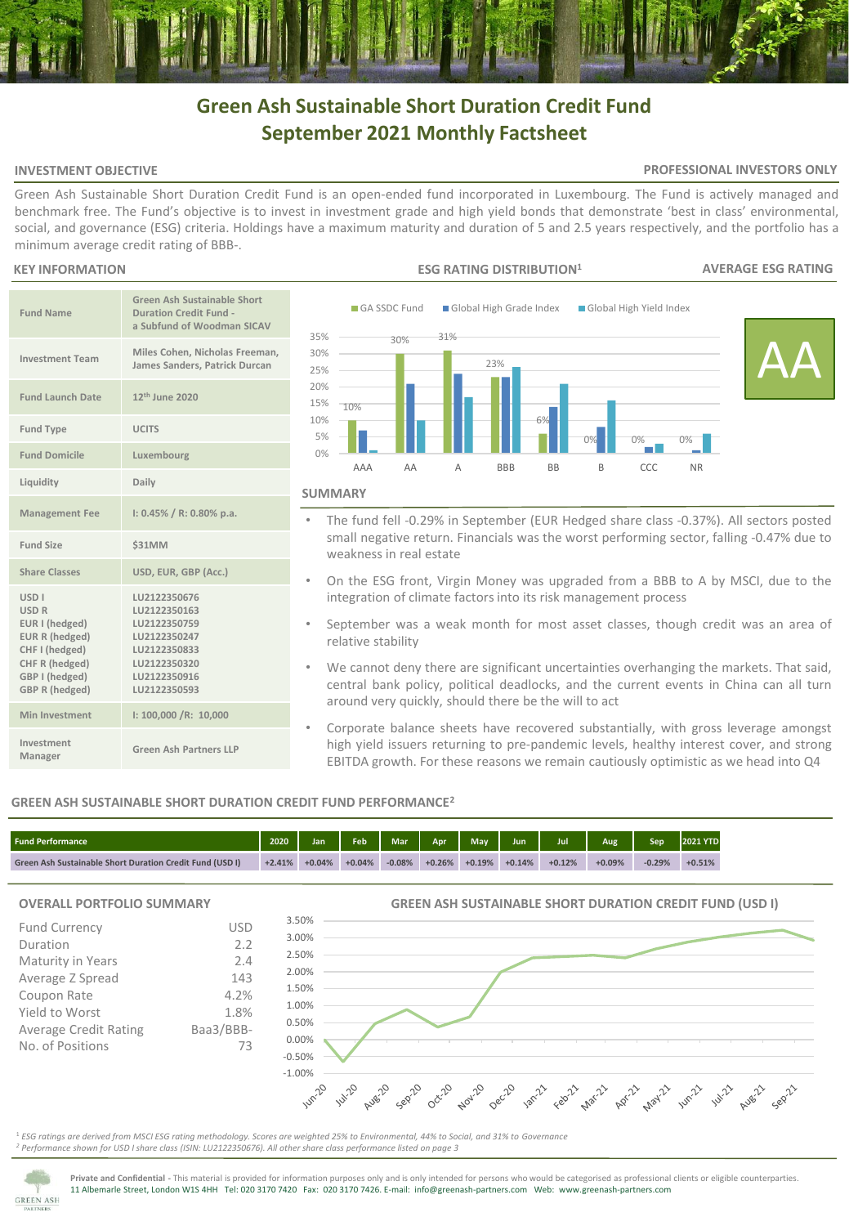# **Green Ash Sustainable Short Duration Credit Fund September 2021 Monthly Factsheet**

### **INVESTMENT OBJECTIVE**

### **PROFESSIONAL INVESTORS ONLY**

Green Ash Sustainable Short Duration Credit Fund is an open-ended fund incorporated in Luxembourg. The Fund is actively managed and benchmark free. The Fund's objective is to invest in investment grade and high yield bonds that demonstrate 'best in class' environmental, social, and governance (ESG) criteria. Holdings have a maximum maturity and duration of 5 and 2.5 years respectively, and the portfolio has a minimum average credit rating of BBB-.

### **KEY INFORMATION**

| <b>Fund Name</b>                                                                                                                                    | Green Ash Sustainable Short<br><b>Duration Credit Fund -</b><br>a Subfund of Woodman SICAV                                   |
|-----------------------------------------------------------------------------------------------------------------------------------------------------|------------------------------------------------------------------------------------------------------------------------------|
| <b>Investment Team</b>                                                                                                                              | Miles Cohen, Nicholas Freeman,<br>James Sanders, Patrick Durcan                                                              |
| <b>Fund Launch Date</b>                                                                                                                             | 12 <sup>th</sup> June 2020                                                                                                   |
| <b>Fund Type</b>                                                                                                                                    | <b>UCITS</b>                                                                                                                 |
| <b>Fund Domicile</b>                                                                                                                                | Luxembourg                                                                                                                   |
| Liquidity                                                                                                                                           | Daily                                                                                                                        |
| <b>Management Fee</b>                                                                                                                               | $1: 0.45\% / R: 0.80\%$ p.a.                                                                                                 |
| <b>Fund Size</b>                                                                                                                                    | <b>\$31MM</b>                                                                                                                |
| <b>Share Classes</b>                                                                                                                                | USD, EUR, GBP (Acc.)                                                                                                         |
| USD <sub>I</sub><br><b>USD R</b><br>EUR I (hedged)<br>EUR R (hedged)<br>CHF I (hedged)<br>CHF R (hedged)<br>GBP I (hedged)<br><b>GBP R (hedged)</b> | LU2122350676<br>LU2122350163<br>LU2122350759<br>LU2122350247<br>LU2122350833<br>LU2122350320<br>LU2122350916<br>LU2122350593 |
| Min Investment                                                                                                                                      | 1: 100,000 / R: 10,000                                                                                                       |
| Investment<br>Manager                                                                                                                               | Green Ash Partners LLP                                                                                                       |



- The fund fell -0.29% in September (EUR Hedged share class -0.37%). All sectors posted small negative return. Financials was the worst performing sector, falling -0.47% due to weakness in real estate
- On the ESG front, Virgin Money was upgraded from a BBB to A by MSCI, due to the integration of climate factors into its risk management process
- September was a weak month for most asset classes, though credit was an area of relative stability
- We cannot deny there are significant uncertainties overhanging the markets. That said, central bank policy, political deadlocks, and the current events in China can all turn around very quickly, should there be the will to act
- Corporate balance sheets have recovered substantially, with gross leverage amongst high yield issuers returning to pre-pandemic levels, healthy interest cover, and strong EBITDA growth. For these reasons we remain cautiously optimistic as we head into Q4

**GREEN ASH SUSTAINABLE SHORT DURATION CREDIT FUND (USD I)**

## **GREEN ASH SUSTAINABLE SHORT DURATION CREDIT FUND PERFORMANCE<sup>2</sup>**

| <b>Fund Performance</b>                                  | 2020     | lan      | <b>Feb</b> | <b>Mar</b> | Anr      | <b>May</b> | Jun      | Jul      | Aug      | Sep      | <b>2021 YTD</b> |
|----------------------------------------------------------|----------|----------|------------|------------|----------|------------|----------|----------|----------|----------|-----------------|
| Green Ash Sustainable Short Duration Credit Fund (USD I) | $+2.41%$ | $+0.04%$ | $+0.04%$   | $-0.08%$   | $+0.26%$ | $+0.19%$   | $+0.14%$ | $+0.12%$ | $+0.09%$ | $-0.29%$ | $+0.51%$        |

## **OVERALL PORTFOLIO SUMMARY**

| OVERALL PORTFOLIO SUMMARY                                                                                                                               |                                                             | GREEN ASH SUSTAINABLE SHORT DURATION CREDIT FUND (USD I)                                                                                                                      |
|---------------------------------------------------------------------------------------------------------------------------------------------------------|-------------------------------------------------------------|-------------------------------------------------------------------------------------------------------------------------------------------------------------------------------|
| Fund Currency<br>Duration<br>Maturity in Years<br>Average Z Spread<br>Coupon Rate<br>Yield to Worst<br><b>Average Credit Rating</b><br>No. of Positions | USD<br>2.2<br>2.4<br>143<br>4.2%<br>1.8%<br>Baa3/BBB-<br>73 | 3.50%<br>3.00%<br>2.50%<br>2.00%<br>1.50%<br>1.00%<br>0.50%<br>0.00%<br>$-0.50%$<br>$-1.00%$<br>A 1470 Aver2 Ser2 Oct22 Agril2 Oct22 1872 Ear22 Agril2 Agril2 Agril2 W.22 All |
|                                                                                                                                                         |                                                             |                                                                                                                                                                               |

<sup>1</sup> *ESG ratings are derived from MSCI ESG rating methodology. Scores are weighted 25% to Environmental, 44% to Social, and 31% to Governance <sup>2</sup> Performance shown for USD I share class (ISIN: LU2122350676). All other share class performance listed on page 3* 



**Private and Confidential -** This material is provided for information purposes only and is only intended for persons who would be categorised as professional clients or eligible counterparties. 11 Albemarle Street, London W1S 4HH Tel: 020 3170 7420 Fax: 020 3170 7426. E-mail: info@greenash-partners.com Web: www.greenash-partners.com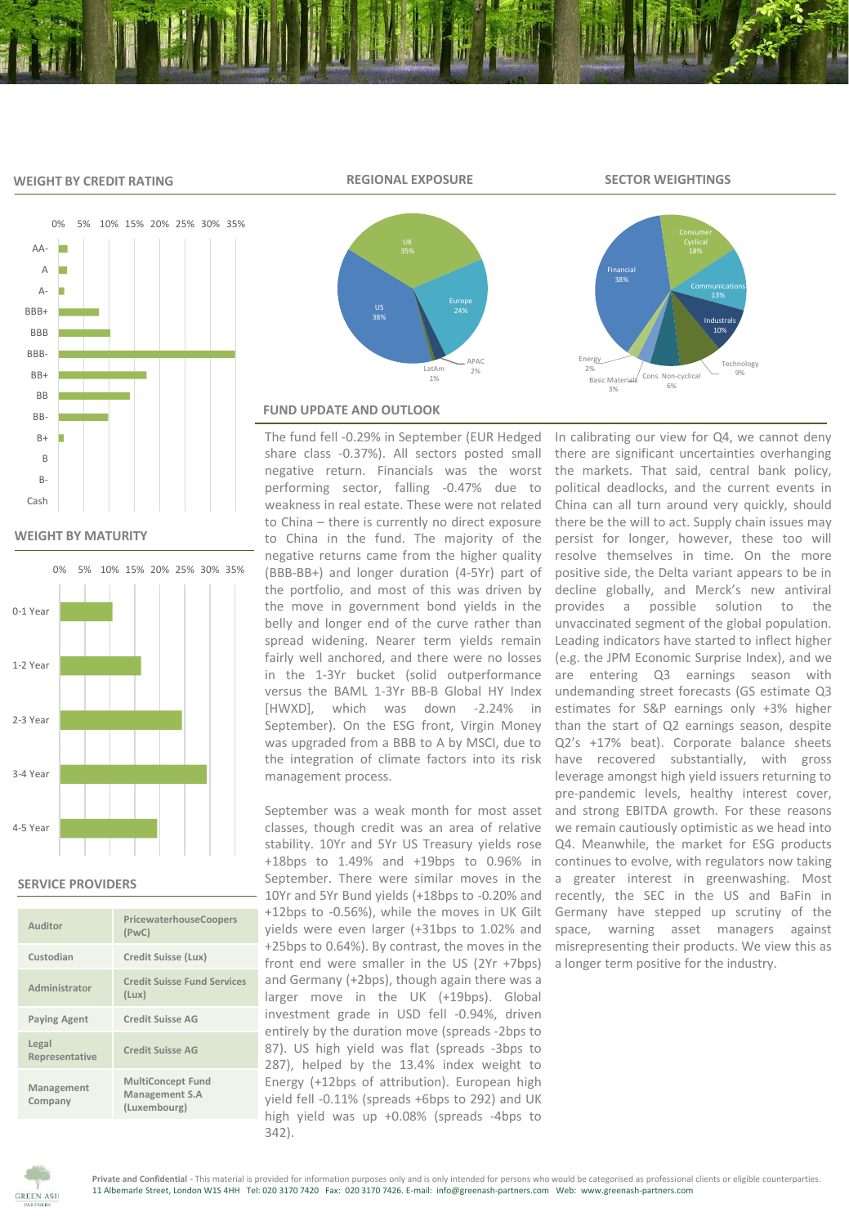#### **WEIGHT BY CREDIT RATING**



**WEIGHT BY MATURITY**



## **SERVICE PROVIDERS**

| Auditor                 | PricewaterhouseCoopers<br>(PWC)                            |
|-------------------------|------------------------------------------------------------|
| Custodian               | Credit Suisse (Lux)                                        |
| Administrator           | <b>Credit Suisse Fund Services</b><br>(Lux)                |
| <b>Paying Agent</b>     | <b>Credit Suisse AG</b>                                    |
| Legal<br>Representative | Credit Suisse AG                                           |
| Management<br>Company   | <b>MultiConcept Fund</b><br>Management S.A<br>(Luxembourg) |



## **FUND UPDATE AND OUTLOOK**

The fund fell -0.29% in September (EUR Hedged share class -0.37%). All sectors posted small negative return. Financials was the worst performing sector, falling -0.47% due to weakness in real estate. These were not related to China – there is currently no direct exposure to China in the fund. The majority of the negative returns came from the higher quality (BBB-BB+) and longer duration (4-5Yr) part of the portfolio, and most of this was driven by the move in government bond yields in the belly and longer end of the curve rather than spread widening. Nearer term yields remain fairly well anchored, and there were no losses in the 1-3Yr bucket (solid outperformance versus the BAML 1-3Yr BB-B Global HY Index [HWXD], which was down -2.24% in September). On the ESG front, Virgin Money was upgraded from a BBB to A by MSCI, due to the integration of climate factors into its risk management process.

September was a weak month for most asset classes, though credit was an area of relative stability. 10Yr and 5Yr US Treasury yields rose +18bps to 1.49% and +19bps to 0.96% in September. There were similar moves in the 10Yr and 5Yr Bund yields (+18bps to -0.20% and +12bps to -0.56%), while the moves in UK Gilt yields were even larger (+31bps to 1.02% and +25bps to 0.64%). By contrast, the moves in the front end were smaller in the US (2Yr +7bps) and Germany (+2bps), though again there was a larger move in the UK (+19bps). Global investment grade in USD fell -0.94%, driven entirely by the duration move (spreads -2bps to 87). US high yield was flat (spreads -3bps to 287), helped by the 13.4% index weight to Energy (+12bps of attribution). European high yield fell -0.11% (spreads +6bps to 292) and UK high yield was up +0.08% (spreads -4bps to 342).

In calibrating our view for Q4, we cannot deny there are significant uncertainties overhanging the markets. That said, central bank policy, political deadlocks, and the current events in China can all turn around very quickly, should there be the will to act. Supply chain issues may persist for longer, however, these too will resolve themselves in time. On the more positive side, the Delta variant appears to be in decline globally, and Merck's new antiviral provides a possible solution to the unvaccinated segment of the global population. Leading indicators have started to inflect higher (e.g. the JPM Economic Surprise Index), and we are entering Q3 earnings season with undemanding street forecasts (GS estimate Q3 estimates for S&P earnings only +3% higher than the start of Q2 earnings season, despite Q2's +17% beat). Corporate balance sheets have recovered substantially, with gross leverage amongst high yield issuers returning to pre-pandemic levels, healthy interest cover, and strong EBITDA growth. For these reasons we remain cautiously optimistic as we head into Q4. Meanwhile, the market for ESG products continues to evolve, with regulators now taking a greater interest in greenwashing. Most recently, the SEC in the US and BaFin in Germany have stepped up scrutiny of the space, warning asset managers against misrepresenting their products. We view this as a longer term positive for the industry.



**REGIONAL EXPOSURE SECTOR WEIGHTINGS**

Cons. Non-cyclical 6%

Industrals 10%

**Technology** 

Financial 38%

Basic Materials 3%

Energy 2%